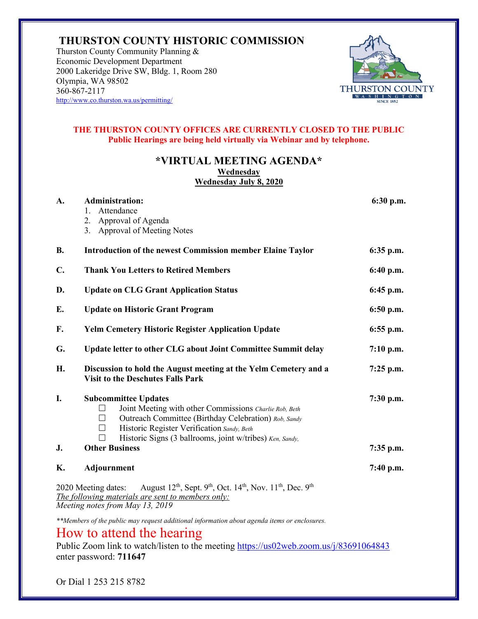### **THURSTON COUNTY HISTORIC COMMISSION**

Thurston County Community Planning & Economic Development Department 2000 Lakeridge Drive SW, Bldg. 1, Room 280 Olympia, WA 98502 360-867-2117 <http://www.co.thurston.wa.us/permitting/>



#### **THE THURSTON COUNTY OFFICES ARE CURRENTLY CLOSED TO THE PUBLIC Public Hearings are being held virtually via Webinar and by telephone.**

#### **\*VIRTUAL MEETING AGENDA\* Wednesday Wednesday July 8, 2020**

| A.                                                                                                                                                                                                                                                                  | <b>Administration:</b><br>Attendance<br>1.<br>Approval of Agenda<br>2.<br>3. Approval of Meeting Notes                                                                                                                                                                                          | 6:30 p.m.                  |
|---------------------------------------------------------------------------------------------------------------------------------------------------------------------------------------------------------------------------------------------------------------------|-------------------------------------------------------------------------------------------------------------------------------------------------------------------------------------------------------------------------------------------------------------------------------------------------|----------------------------|
| <b>B.</b>                                                                                                                                                                                                                                                           | <b>Introduction of the newest Commission member Elaine Taylor</b>                                                                                                                                                                                                                               | $6:35$ p.m.                |
| C.                                                                                                                                                                                                                                                                  | <b>Thank You Letters to Retired Members</b>                                                                                                                                                                                                                                                     | 6:40 p.m.                  |
| D.                                                                                                                                                                                                                                                                  | <b>Update on CLG Grant Application Status</b>                                                                                                                                                                                                                                                   | $6:45$ p.m.                |
| Е.                                                                                                                                                                                                                                                                  | <b>Update on Historic Grant Program</b>                                                                                                                                                                                                                                                         | $6:50$ p.m.                |
| F.                                                                                                                                                                                                                                                                  | <b>Yelm Cemetery Historic Register Application Update</b>                                                                                                                                                                                                                                       | $6:55$ p.m.                |
| G.                                                                                                                                                                                                                                                                  | Update letter to other CLG about Joint Committee Summit delay                                                                                                                                                                                                                                   | $7:10$ p.m.                |
| Н.                                                                                                                                                                                                                                                                  | Discussion to hold the August meeting at the Yelm Cemetery and a<br><b>Visit to the Deschutes Falls Park</b>                                                                                                                                                                                    | $7:25$ p.m.                |
| I.<br>J.                                                                                                                                                                                                                                                            | <b>Subcommittee Updates</b><br>Joint Meeting with other Commissions Charlie Rob, Beth<br>Outreach Committee (Birthday Celebration) Rob, Sandy<br>Historic Register Verification Sandy, Beth<br>$\Box$<br>Historic Signs (3 ballrooms, joint w/tribes) Ken, Sandy,<br>П<br><b>Other Business</b> | $7:30$ p.m.<br>$7:35$ p.m. |
| K.                                                                                                                                                                                                                                                                  |                                                                                                                                                                                                                                                                                                 |                            |
| Adjournment<br>$7:40$ p.m.<br>August 12 <sup>th</sup> , Sept. 9 <sup>th</sup> , Oct. 14 <sup>th</sup> , Nov. 11 <sup>th</sup> , Dec. 9 <sup>th</sup><br>2020 Meeting dates:<br>The following materials are sent to members only:<br>Meeting notes from May 13, 2019 |                                                                                                                                                                                                                                                                                                 |                            |

*\*\*Members of the public may request additional information about agenda items or enclosures.* 

# How to attend the hearing

Public Zoom link to watch/listen to the meeting <https://us02web.zoom.us/j/83691064843> enter password: **711647**

Or Dial 1 253 215 8782